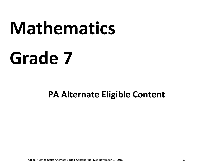# **Mathematics**

## **Grade 7**

### **PA Alternate Eligible Content**

Grade 7 Mathematics Alternate Eligible Content Approved November 19, 2015 **1**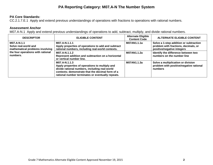#### **PA Reporting Category: M07.A-N The Number System**

#### **PA Core Standards:**

CC.2.1.7.E.1 Apply and extend previous understandings of operations with fractions to operations with rational numbers.

#### **Assessment Anchor**

M07.A-N.1 Apply and extend previous understandings of operations to add, subtract, multiply, and divide rational numbers.

| <b>DESCRIPTOR</b>                                                                                                       | <b>ELIGIBLE CONTENT</b>                                                                                                                                                                                                   | <b>Alternate Eligible</b><br><b>Content Code</b> | <b>ALTERNATE ELIGIBLE CONTENT</b>                                                                            |
|-------------------------------------------------------------------------------------------------------------------------|---------------------------------------------------------------------------------------------------------------------------------------------------------------------------------------------------------------------------|--------------------------------------------------|--------------------------------------------------------------------------------------------------------------|
| M07.A-N.1.1<br>Solve real-world and<br>mathematical problems involving<br>the four operations with rational<br>numbers. | M07.A-N.1.1.1<br>Apply properties of operations to add and subtract<br>rational numbers, including real-world contexts.                                                                                                   | M07AN1.1.1a                                      | Solve a 1-step addition or subtraction<br>problem with fractions, decimals, or<br>positive/negative integers |
|                                                                                                                         | M07.A-N.1.1.2<br>Represent addition and subtraction on a horizontal<br>or vertical number line.                                                                                                                           | M07AN1.1.2a                                      | Identify the difference between two<br>numbers on the number line                                            |
|                                                                                                                         | M07.A-N.1.1.3<br>Apply properties of operations to multiply and<br>divide rational numbers, including real-world<br>contexts; demonstrate that the decimal form of a<br>rational number terminates or eventually repeats. | M07AN1.1.3a                                      | Solve a multiplication or division<br>problem with positive/negative rational<br>numbers                     |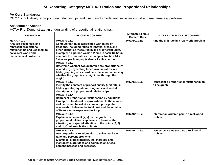#### **PA Reporting Category: M07.A-R Ratios and Proportional Relationships**

#### **PA Core Standards:**

CC.2.1.7.D.1 Analyze proportional relationships and use them to model and solve real‐world and mathematical problems.

#### **Assessment Anchor**

M07.A-R.1 Demonstrate an understanding of proportional relationships.

| <b>DESCRIPTOR</b>                                                                                                                                   | <b>ELIGIBLE CONTENT</b>                                                                                                                                                                                                                                                                                                                                             | <b>Alternate Eligible</b><br><b>Content Code</b> | <b>ALTERNATE ELIGIBLE CONTENT</b>                        |
|-----------------------------------------------------------------------------------------------------------------------------------------------------|---------------------------------------------------------------------------------------------------------------------------------------------------------------------------------------------------------------------------------------------------------------------------------------------------------------------------------------------------------------------|--------------------------------------------------|----------------------------------------------------------|
| M07.A-R.1.1<br>Analyze, recognize, and<br>represent proportional<br>relationships and use them to<br>solve real-world and<br>mathematical problems. | M07.A-R.1.1.1<br>Compute unit rates associated with ratios of<br>fractions, including ratios of lengths, areas, and<br>other quantities measured in like or different units.<br>Example: If a person walks 1/2 mile in each 1/4 hour,<br>compute the unit rate as the complex fraction 1/2 /<br>1/4 miles per hour, equivalently 2 miles per hour.<br>M07.A-R.1.1.2 | M07AR1.1.1a                                      | Find the unit rate in a real-world problem               |
|                                                                                                                                                     | Determine whether two quantities are proportionally<br>related (e.g., by testing for equivalent ratios in a<br>table, graphing on a coordinate plane and observing<br>whether the graph is a straight line through the<br>origin).                                                                                                                                  |                                                  |                                                          |
|                                                                                                                                                     | M07.A-R.1.1.3<br>Identify the constant of proportionality (unit rate) in<br>tables, graphs, equations, diagrams, and verbal<br>descriptions of proportional relationships.                                                                                                                                                                                          | M07AR1.1.3a                                      | Represent a proportional relationship on<br>a line graph |
|                                                                                                                                                     | M07.A-R.1.1.4<br>Represent proportional relationships by equations.<br>Example: If total cost t is proportional to the number<br>n of items purchased at a constant price p, the<br>relationship between the total cost and the number<br>of items can be expressed as $t = pn$ .                                                                                   |                                                  |                                                          |
|                                                                                                                                                     | M07.A-R.1.1.5<br>Explain what a point $(x, y)$ on the graph of a<br>proportional relationship means in terms of the<br>situation, with special attention to the points (0, 0)<br>and (1, r), where r is the unit rate.                                                                                                                                              | M07AR1.1.5a                                      | Interpret an ordered pair in a real-world<br>problem     |
|                                                                                                                                                     | M07.A-R.1.1.6<br>Use proportional relationships to solve multi-step<br>ratio and percent problems.<br>Examples: simple interest, tax, markups and<br>markdowns, gratuities and commissions, fees,<br>percent increase and decrease.                                                                                                                                 | M07AR1.1.6a                                      | Use percentages to solve a real-world<br>problem         |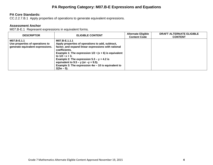#### **PA Reporting Category: M07.B-E Expressions and Equations**

#### **PA Core Standards:**

CC.2.2.7.B.1 Apply properties of operations to generate equivalent expressions.

#### **Assessment Anchor**

M07.B-E.1 Represent expressions in equivalent forms.

| <b>DESCRIPTOR</b>                                                                  | <b>ELIGIBLE CONTENT</b>                                                                                                                                                                                                                                                                                                                                                                                  | <b>Alternate Eligible</b><br><b>Content Code</b> | DRAFT ALTERNATE ELIGIBLE<br><b>CONTENT</b> |
|------------------------------------------------------------------------------------|----------------------------------------------------------------------------------------------------------------------------------------------------------------------------------------------------------------------------------------------------------------------------------------------------------------------------------------------------------------------------------------------------------|--------------------------------------------------|--------------------------------------------|
| M07.B-E.1.1<br>Use properties of operations to<br>generate equivalent expressions. | M07.B-E.1.1.1<br>Apply properties of operations to add, subtract,<br>factor, and expand linear expressions with rational<br>coefficients.<br>Example 1: The expression $1/2 \cdot (x + 6)$ is equivalent<br>to $1/2 \cdot x + 3$ .<br>Example 2: The expression $5.3 - y + 4.2$ is<br>equivalent to $9.5 - y$ (or $-y + 9.5$ ).<br>Example 3: The expression $4w - 10$ is equivalent to<br>$2(2w - 5)$ . |                                                  |                                            |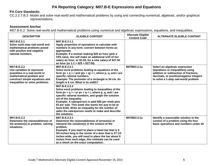#### **PA Reporting Category: M07.B-E Expressions and Equations**

#### **PA Core Standards:**

CC.2.2.7.B.3 Model and solve real‐world and mathematical problems by using and connecting numerical, algebraic, and/or graphical representations.

#### **Assessment Anchor**

M07.B-E.2 Solve real-world and mathematical problems using numerical and algebraic expressions, equations, and inequalities.

| <b>DESCRIPTOR</b>                                                                                                                                                           | <b>ELIGIBLE CONTENT</b>                                                                                                                                                                                                                                                                                                                                                                                                                                | <b>Alternate Eligible</b><br><b>Content Code</b> | <b>ALTERNATE ELIGIBLE CONTENT</b>                                                                                                                                                               |
|-----------------------------------------------------------------------------------------------------------------------------------------------------------------------------|--------------------------------------------------------------------------------------------------------------------------------------------------------------------------------------------------------------------------------------------------------------------------------------------------------------------------------------------------------------------------------------------------------------------------------------------------------|--------------------------------------------------|-------------------------------------------------------------------------------------------------------------------------------------------------------------------------------------------------|
| M07.B-E.2.1<br>Solve multi-step real-world and<br>mathematical problems posed<br>with positive and negative<br>rational numbers.                                            | M07.B-E.2.1.1<br>Apply properties of operations to calculate with<br>numbers in any form; convert between forms as<br>appropriate.<br>Example: If a woman making \$25 an hour gets a<br>10% raise, she will make an additional 1/10 of her<br>salary an hour, or \$2.50, for a new salary of \$27.50<br>an hour (or $1.1 \times $25 = $27.50$ ).                                                                                                       |                                                  |                                                                                                                                                                                                 |
| M07.B-E.2.2<br>Use variables to represent<br>quantities in a real-world or<br>mathematical problem and<br>construct simple equations and<br>inequalities to solve problems. | M07.B-E.2.2.1<br>Solve word problems leading to equations of the<br>form $px + q = r$ and $p(x + q) = r$ , where p, q, and r are<br>specific rational numbers.<br>Example: The perimeter of a rectangle is 54 cm. Its<br>length is 6 cm. What is its width?                                                                                                                                                                                            | M07BE2.2.1a                                      | Select an algebraic expression<br>(equations or inequalities) using<br>addition or subtraction of fractions,<br>decimals, or positive/negative integers<br>to solve a 1-step real-world problem |
|                                                                                                                                                                             | M07.B-E.2.2.2<br>Solve word problems leading to inequalities of the<br>form $px + q > r$ or $px + q < r$ , where p, q, and r are<br>specific rational numbers, and graph the solution<br>set of the inequality.<br>Example: A salesperson is paid \$50 per week plus<br>\$3 per sale. This week she wants her pay to be at<br>least \$100. Write an inequality for the number of<br>sales the salesperson needs to make and describe<br>the solutions. |                                                  |                                                                                                                                                                                                 |
| M07.B-E.2.3<br>Determine the reasonableness of<br>the answer(s) in problem-solving<br>situations.                                                                           | M07.B-E.2.3.1<br>Determine the reasonableness of answer(s) or<br>interpret the solution(s) in the context of the<br>problem.<br>Example: If you want to place a towel bar that is 9<br>3/4 inches long in the center of a door that is 27 1/2<br>inches wide, you will need to place the bar about 9<br>inches from each edge; this estimate can be used<br>as a check on the exact computation.                                                       | M07BE2.3.1a                                      | Identify a reasonable solution in the<br>context of a problem using the four<br>basic operations and numbers under 20                                                                           |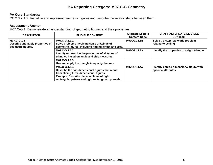#### **PA Reporting Category: M07.C-G Geometry**

#### **PA Core Standards:**

CC.2.3.7.A.2 Visualize and represent geometric figures and describe the relationships between them.

#### **Assessment Anchor**

M07.C-G.1 Demonstrate an understanding of geometric figures and their properties.

| <b>DESCRIPTOR</b>                                                     | <b>ELIGIBLE CONTENT</b>                                                                                                                                                                                         | <b>Alternate Eligible</b><br><b>Content Code</b> | <b>DRAFT ALTERNATE ELIGIBLE</b><br><b>CONTENT</b>               |
|-----------------------------------------------------------------------|-----------------------------------------------------------------------------------------------------------------------------------------------------------------------------------------------------------------|--------------------------------------------------|-----------------------------------------------------------------|
| M07.C-G.1.1<br>Describe and apply properties of<br>geometric figures. | M07.C-G.1.1.1<br>Solve problems involving scale drawings of<br>geometric figures, including finding length and area.                                                                                            | M07CG1.1.1a                                      | Solve a 1-step real-world problem<br>related to scaling         |
|                                                                       | M07.C-G.1.1.2<br>Identify or describe the properties of all types of<br>triangles based on angle and side measures.                                                                                             | M07CG1.1.2a                                      | Identify the properties of a right triangle                     |
|                                                                       | M07.C-G.1.1.3<br>Use and apply the triangle inequality theorem.                                                                                                                                                 |                                                  |                                                                 |
|                                                                       | M07.C-G.1.1.4<br>Describe the two-dimensional figures that result<br>from slicing three-dimensional figures.<br>Example: Describe plane sections of right<br>rectangular prisms and right rectangular pyramids. | M07CG1.1.4a                                      | Identify a three-dimensional figure with<br>specific attributes |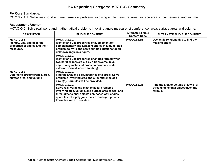#### **PA Reporting Category: M07.C-G Geometry**

#### **PA Core Standards:**

CC.2.3.7.A.1 Solve real‐world and mathematical problems involving angle measure, area, surface area, circumference, and volume.

#### **Assessment Anchor**

M07.C-G.2 Solve real-world and mathematical problems involving angle measure, circumference, area, surface area, and volume.

| <b>DESCRIPTOR</b>                                                                         | <b>ELIGIBLE CONTENT</b>                                                                                                                                                                                                                                     | <b>Alternate Eligible</b><br><b>Content Code</b> | <b>ALTERNATE ELIGIBLE CONTENT</b>                                                     |
|-------------------------------------------------------------------------------------------|-------------------------------------------------------------------------------------------------------------------------------------------------------------------------------------------------------------------------------------------------------------|--------------------------------------------------|---------------------------------------------------------------------------------------|
| M07.C-G.2.1<br>Identify, use, and describe<br>properties of angles and their<br>measures. | M07.C-G.2.1.1<br>Identify and use properties of supplementary,<br>complementary and adjacent angles in a multi-step<br>problem to write and solve simple equations for an<br>unknown angle in a figure.                                                     | M07CG2.1.1a                                      | Use angle relationships to find the<br>missing angle                                  |
|                                                                                           | M07.C-G.2.1.2<br>Identify and use properties of angles formed when<br>two parallel lines are cut by a transversal (e.g.,<br>angles may include alternate interior, alternate<br>exterior, vertical, corresponding).                                         |                                                  |                                                                                       |
| M07.C-G.2.2<br>Determine circumference, area,<br>surface area, and volume                 | M07.C-G.2.2.1<br>Find the area and circumference of a circle. Solve<br>problems involving area and circumference of a<br>circle(s). Formulas will be provided.                                                                                              |                                                  |                                                                                       |
|                                                                                           | M07.C-G.2.2.2<br>Solve real-world and mathematical problems<br>involving area, volume, and surface area of two- and<br>three-dimensional objects composed of triangles,<br>quadrilaterals, polygons, cubes, and right prisms.<br>Formulas will be provided. | M07CG2.2.2a                                      | Find the area or volume of a two- or<br>three-dimensional object given the<br>formula |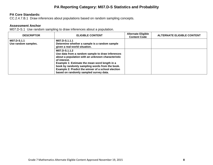#### **PA Reporting Category: M07.D-S Statistics and Probability**

#### **PA Core Standards:**

CC.2.4.7.B.1 Draw inferences about populations based on random sampling concepts.

#### **Assessment Anchor**

M07.D-S.1 Use random sampling to draw inferences about a population.

| <b>DESCRIPTOR</b>                  | <b>ELIGIBLE CONTENT</b>                                                                                                                                                                                                                                                                                                                   | <b>Alternate Eligible</b><br><b>Content Code</b> | <b>ALTERNATE ELIGIBLE CONTENT</b> |
|------------------------------------|-------------------------------------------------------------------------------------------------------------------------------------------------------------------------------------------------------------------------------------------------------------------------------------------------------------------------------------------|--------------------------------------------------|-----------------------------------|
| M07.D-S.1.1<br>Use random samples. | M07.D-S.1.1.1<br>Determine whether a sample is a random sample<br>given a real-world situation.                                                                                                                                                                                                                                           |                                                  |                                   |
|                                    | M07.D-S.1.1.2<br>Use data from a random sample to draw inferences<br>about a population with an unknown characteristic<br>of interest.<br>Example 1: Estimate the mean word length in a<br>book by randomly sampling words from the book.<br>Example 2: Predict the winner of a school election<br>based on randomly sampled survey data. |                                                  |                                   |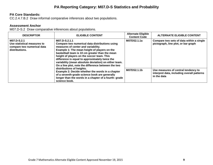#### **PA Reporting Category: M07.D-S Statistics and Probability**

#### **PA Core Standards:**

CC.2.4.7.B.2 Draw informal comparative inferences about two populations.

#### **Assessment Anchor**

M07.D-S.2 Draw comparative inferences about populations.

| <b>DESCRIPTOR</b>                                                                                                                                                                                       | <b>ELIGIBLE CONTENT</b>                                                                                                                                                                                                                                                                                                                                                                                                  | <b>Alternate Eligible</b><br><b>Content Code</b>                                                 | <b>ALTERNATE ELIGIBLE CONTENT</b>                                               |
|---------------------------------------------------------------------------------------------------------------------------------------------------------------------------------------------------------|--------------------------------------------------------------------------------------------------------------------------------------------------------------------------------------------------------------------------------------------------------------------------------------------------------------------------------------------------------------------------------------------------------------------------|--------------------------------------------------------------------------------------------------|---------------------------------------------------------------------------------|
| M07.D-S.2.1<br>Use statistical measures to<br>compare two numerical data<br>distributions.                                                                                                              | M07.D-S.2.1.1<br>Compare two numerical data distributions using<br>measures of center and variability.<br>Example 1: The mean height of players on the<br>basketball team is 10 cm greater than the mean<br>height of players on the soccer team. This<br>difference is equal to approximately twice the<br>variability (mean absolute deviation) on either team.<br>On a line plot, note the difference between the two | M07DS2.1.1a                                                                                      | Compare two sets of data within a single<br>pictograph, line plot, or bar graph |
| distributions of heights.<br>Example 2: Decide whether the words in a chapter<br>of a seventh-grade science book are generally<br>longer than the words in a chapter of a fourth-grade<br>science book. | M07DS2.1.1b                                                                                                                                                                                                                                                                                                                                                                                                              | Use measures of central tendency to<br>interpret data, including overall patterns<br>in the data |                                                                                 |